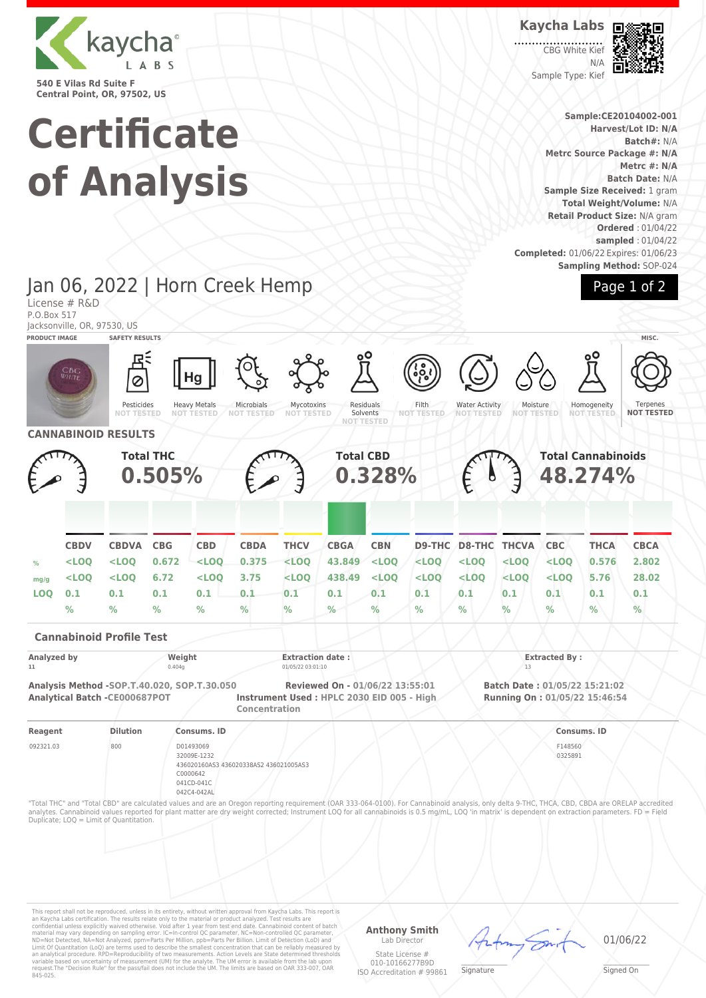

License # R&D

**Certificate of Analysis**

Jan 06, 2022 | Horn Creek Hemp

CBG White Kie N/A Sample Type: Kief



**Sample:CE20104002-001 Harvest/Lot ID: N/A Batch#:** N/A **Metrc Source Package #: N/A Metrc #: N/A Batch Date:** N/A **Sample Size Received:** 1 gram **Total Weight/Volume:** N/A **Retail Product Size:** N/A gram **Ordered** : 01/04/22 **sampled** : 01/04/22 **Completed:** 01/06/22 Expires: 01/06/23 **Sampling Method:** SOP-024

Page 1 of 2

## P.O.Box 517 Jacksonville, OR, 97530, US **PRODUCT IMAGE SAFETY RESULTS MISC.** Pesticides **NOT TESTED** Heavy Metals **NOT TESTED** Microbials **NOT TESTED** Mycotoxins **NOT TESTED** Residuals Solvents **NOT TESTED** Filth **NOT TESTED** Water Activity **NOT TESTED** Moisture<br>NOT TEST **NOT TESTED Homogeneity NOT TESTED** Ternene **NOT TESTED CANNABINOID RESULTS Total THC 0.505% Total CBD 0.328% Total Cannabinoids 48.274% CBDV CBDVA CBG CBD CBDA THCV CBGA CBN D9-THC D8-THC THCVA CBC THCA CBCA % <LOQ <LOQ 0.672 <LOQ 0.375 <LOQ 43.849 <LOQ <LOQ <LOQ <LOQ <LOQ 0.576 2.802 mg/g <LOQ <LOQ 6.72 <LOQ 3.75 <LOQ 438.49 <LOQ <LOQ <LOQ <LOQ <LOQ 5.76 28.02 LOQ 0.1 0.1 0.1 0.1 0.1 0.1 0.1 0.1 0.1 0.1 0.1 0.1 0.1 0.1 % % % % % % % % % % % % % % Cannabinoid Profile Test Analyzed by Weight Extraction date : Extracted By : 11** 0.404g 01/05/22 03:01:10 13 **Analysis Method -SOP.T.40.020, SOP.T.30.050 Reviewed On - 01/06/22 13:55:01 Batch Date : 01/05/22 15:21:02 Analytical Batch -CE000687POT Instrument Used : HPLC 2030 EID 005 - High Concentration Running On : 01/05/22 15:46:54 Reagent Dilution Consums. ID Consums. ID** 092321.03 800 D01493069 32009E-1232 436020160AS3 436020338AS2 436021005AS3 C0000642 041CD-041C 042C4-042AL F148560 0325891 "Total THC" and "Total CBD" are calculated values and are an Oregon reporting requirement (OAR 333-064-0100). For Cannabinoid analysis, only delta 9-THC, THCA, CBD, CBDA are ORELAP accredited analytes. Cannabinoid values reported for plant matter are dry weight corrected; Instrument LOQ for all cannabinoids is 0.5 mg/mL, LOQ 'in matrix' is dependent on extraction parameters. FD = Field Duplicate; LOQ = Limit of Quantitation.

This report shall not be reproduced, unless in its entirety, without written approval from Kaycha Labs. This report is<br>an Kaycha Labs certification. The results relate only to the material or product analyzed. Test result

**Anthony Smith** Lab Director

State License # 010-10166277B9D ISO Accreditation # 99861  $\mathscr{L}\setminus\mathscr{L}$ **Signature** 

01/06/22

Signed On